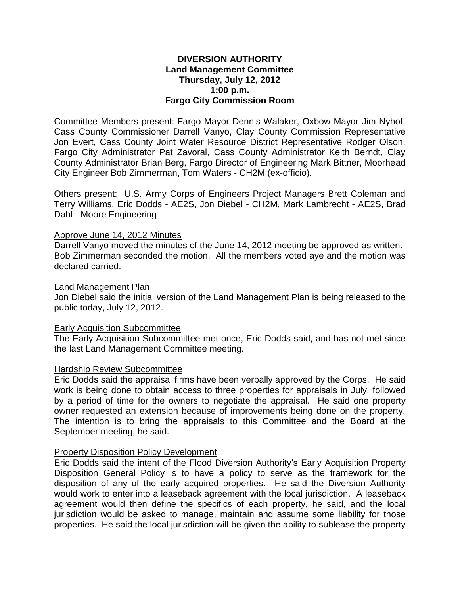## **DIVERSION AUTHORITY Land Management Committee Thursday, July 12, 2012 1:00 p.m. Fargo City Commission Room**

Committee Members present: Fargo Mayor Dennis Walaker, Oxbow Mayor Jim Nyhof, Cass County Commissioner Darrell Vanyo, Clay County Commission Representative Jon Evert, Cass County Joint Water Resource District Representative Rodger Olson, Fargo City Administrator Pat Zavoral, Cass County Administrator Keith Berndt, Clay County Administrator Brian Berg, Fargo Director of Engineering Mark Bittner, Moorhead City Engineer Bob Zimmerman, Tom Waters - CH2M (ex-officio).

Others present: U.S. Army Corps of Engineers Project Managers Brett Coleman and Terry Williams, Eric Dodds - AE2S, Jon Diebel - CH2M, Mark Lambrecht - AE2S, Brad Dahl - Moore Engineering

### Approve June 14, 2012 Minutes

Darrell Vanyo moved the minutes of the June 14, 2012 meeting be approved as written. Bob Zimmerman seconded the motion. All the members voted aye and the motion was declared carried.

### Land Management Plan

Jon Diebel said the initial version of the Land Management Plan is being released to the public today, July 12, 2012.

### Early Acquisition Subcommittee

The Early Acquisition Subcommittee met once, Eric Dodds said, and has not met since the last Land Management Committee meeting.

### Hardship Review Subcommittee

Eric Dodds said the appraisal firms have been verbally approved by the Corps. He said work is being done to obtain access to three properties for appraisals in July, followed by a period of time for the owners to negotiate the appraisal. He said one property owner requested an extension because of improvements being done on the property. The intention is to bring the appraisals to this Committee and the Board at the September meeting, he said.

### Property Disposition Policy Development

Eric Dodds said the intent of the Flood Diversion Authority's Early Acquisition Property Disposition General Policy is to have a policy to serve as the framework for the disposition of any of the early acquired properties. He said the Diversion Authority would work to enter into a leaseback agreement with the local jurisdiction. A leaseback agreement would then define the specifics of each property, he said, and the local jurisdiction would be asked to manage, maintain and assume some liability for those properties. He said the local jurisdiction will be given the ability to sublease the property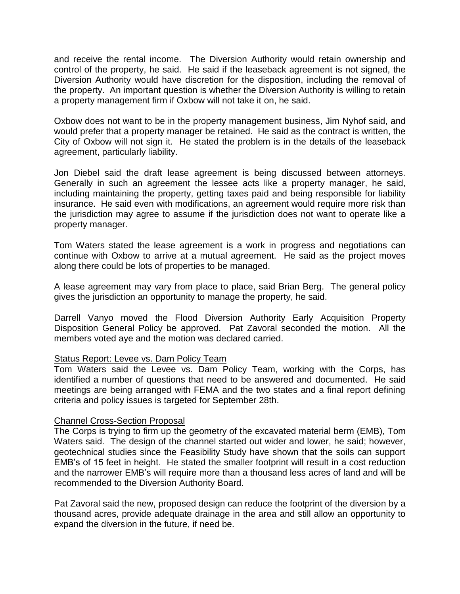and receive the rental income. The Diversion Authority would retain ownership and control of the property, he said. He said if the leaseback agreement is not signed, the Diversion Authority would have discretion for the disposition, including the removal of the property. An important question is whether the Diversion Authority is willing to retain a property management firm if Oxbow will not take it on, he said.

Oxbow does not want to be in the property management business, Jim Nyhof said, and would prefer that a property manager be retained. He said as the contract is written, the City of Oxbow will not sign it. He stated the problem is in the details of the leaseback agreement, particularly liability.

Jon Diebel said the draft lease agreement is being discussed between attorneys. Generally in such an agreement the lessee acts like a property manager, he said, including maintaining the property, getting taxes paid and being responsible for liability insurance. He said even with modifications, an agreement would require more risk than the jurisdiction may agree to assume if the jurisdiction does not want to operate like a property manager.

Tom Waters stated the lease agreement is a work in progress and negotiations can continue with Oxbow to arrive at a mutual agreement. He said as the project moves along there could be lots of properties to be managed.

A lease agreement may vary from place to place, said Brian Berg. The general policy gives the jurisdiction an opportunity to manage the property, he said.

Darrell Vanyo moved the Flood Diversion Authority Early Acquisition Property Disposition General Policy be approved. Pat Zavoral seconded the motion. All the members voted aye and the motion was declared carried.

# Status Report: Levee vs. Dam Policy Team

Tom Waters said the Levee vs. Dam Policy Team, working with the Corps, has identified a number of questions that need to be answered and documented. He said meetings are being arranged with FEMA and the two states and a final report defining criteria and policy issues is targeted for September 28th.

# Channel Cross-Section Proposal

The Corps is trying to firm up the geometry of the excavated material berm (EMB), Tom Waters said. The design of the channel started out wider and lower, he said; however, geotechnical studies since the Feasibility Study have shown that the soils can support EMB's of 15 feet in height. He stated the smaller footprint will result in a cost reduction and the narrower EMB's will require more than a thousand less acres of land and will be recommended to the Diversion Authority Board.

Pat Zavoral said the new, proposed design can reduce the footprint of the diversion by a thousand acres, provide adequate drainage in the area and still allow an opportunity to expand the diversion in the future, if need be.